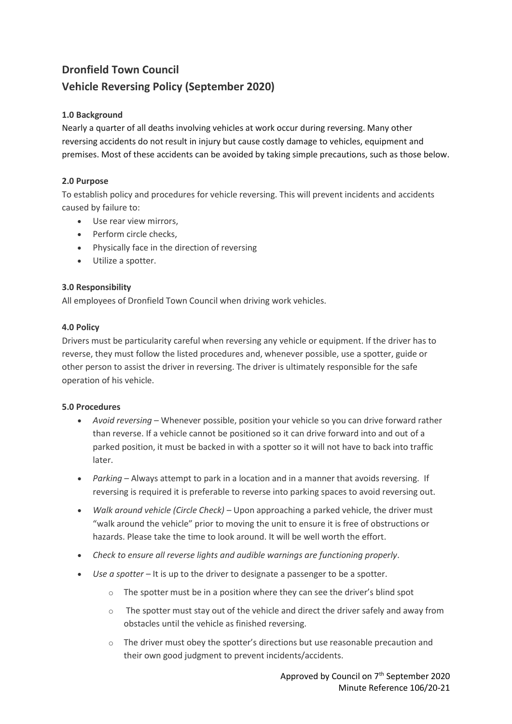# **Dronfield Town Council Vehicle Reversing Policy (September 2020)**

# **1.0 Background**

Nearly a quarter of all deaths involving vehicles at work occur during reversing. Many other reversing accidents do not result in injury but cause costly damage to vehicles, equipment and premises. Most of these accidents can be avoided by taking simple precautions, such as those below.

# **2.0 Purpose**

To establish policy and procedures for vehicle reversing. This will prevent incidents and accidents caused by failure to:

- Use rear view mirrors,
- Perform circle checks.
- Physically face in the direction of reversing
- Utilize a spotter.

### **3.0 Responsibility**

All employees of Dronfield Town Council when driving work vehicles.

### **4.0 Policy**

Drivers must be particularity careful when reversing any vehicle or equipment. If the driver has to reverse, they must follow the listed procedures and, whenever possible, use a spotter, guide or other person to assist the driver in reversing. The driver is ultimately responsible for the safe operation of his vehicle.

### **5.0 Procedures**

- *Avoid reversing –* Whenever possible, position your vehicle so you can drive forward rather than reverse. If a vehicle cannot be positioned so it can drive forward into and out of a parked position, it must be backed in with a spotter so it will not have to back into traffic later.
- *Parking –* Always attempt to park in a location and in a manner that avoids reversing. If reversing is required it is preferable to reverse into parking spaces to avoid reversing out.
- *Walk around vehicle (Circle Check)* Upon approaching a parked vehicle, the driver must "walk around the vehicle" prior to moving the unit to ensure it is free of obstructions or hazards. Please take the time to look around. It will be well worth the effort.
- *Check to ensure all reverse lights and audible warnings are functioning properly*.
- *Use a spotter*  It is up to the driver to designate a passenger to be a spotter.
	- o The spotter must be in a position where they can see the driver's blind spot
	- $\circ$  The spotter must stay out of the vehicle and direct the driver safely and away from obstacles until the vehicle as finished reversing.
	- $\circ$  The driver must obey the spotter's directions but use reasonable precaution and their own good judgment to prevent incidents/accidents.

Approved by Council on 7<sup>th</sup> September 2020 Minute Reference 106/20-21